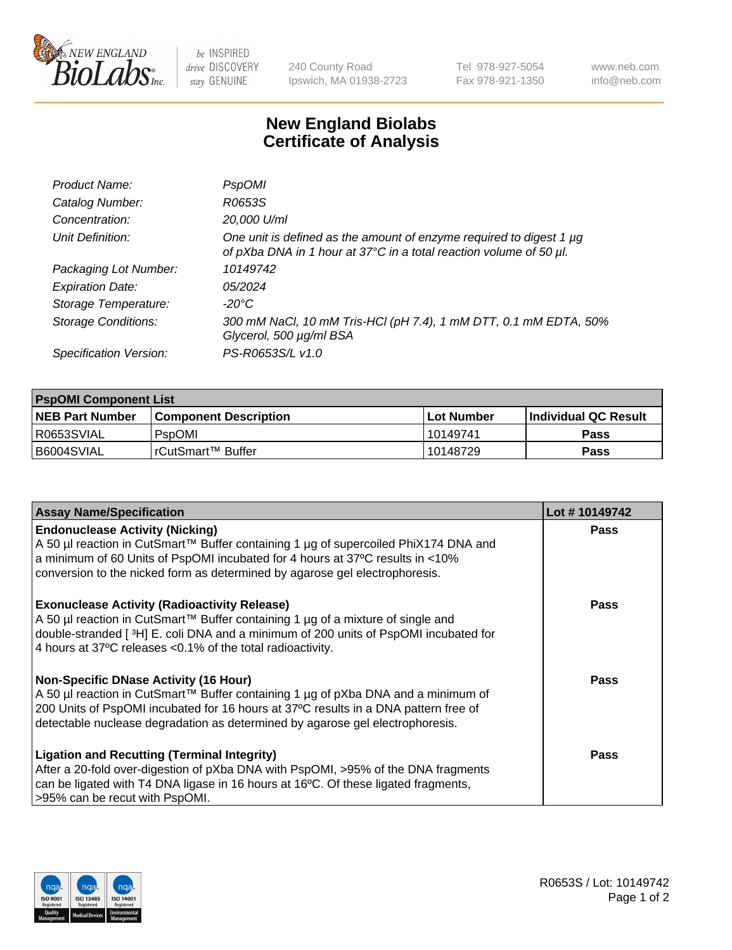

 $be$  INSPIRED drive DISCOVERY stay GENUINE

240 County Road Ipswich, MA 01938-2723 Tel 978-927-5054 Fax 978-921-1350 www.neb.com info@neb.com

## **New England Biolabs Certificate of Analysis**

| Product Name:              | <b>PspOMI</b>                                                                                                                             |
|----------------------------|-------------------------------------------------------------------------------------------------------------------------------------------|
| Catalog Number:            | R0653S                                                                                                                                    |
| Concentration:             | 20,000 U/ml                                                                                                                               |
| Unit Definition:           | One unit is defined as the amount of enzyme required to digest 1 µg<br>of pXba DNA in 1 hour at 37°C in a total reaction volume of 50 µl. |
| Packaging Lot Number:      | 10149742                                                                                                                                  |
| <b>Expiration Date:</b>    | 05/2024                                                                                                                                   |
| Storage Temperature:       | $-20^{\circ}$ C                                                                                                                           |
| <b>Storage Conditions:</b> | 300 mM NaCl, 10 mM Tris-HCl (pH 7.4), 1 mM DTT, 0.1 mM EDTA, 50%<br>Glycerol, 500 µg/ml BSA                                               |
| Specification Version:     | PS-R0653S/L v1.0                                                                                                                          |

| <b>PspOMI Component List</b> |                              |              |                             |  |
|------------------------------|------------------------------|--------------|-----------------------------|--|
| <b>NEB Part Number</b>       | <b>Component Description</b> | l Lot Number | <b>Individual QC Result</b> |  |
| R0653SVIAL                   | PspOMI                       | 10149741     | Pass                        |  |
| B6004SVIAL                   | l rCutSmart™ Buffer          | 10148729     | Pass                        |  |

| <b>Assay Name/Specification</b>                                                                                                                                                                                                                                                                    | Lot #10149742 |
|----------------------------------------------------------------------------------------------------------------------------------------------------------------------------------------------------------------------------------------------------------------------------------------------------|---------------|
| <b>Endonuclease Activity (Nicking)</b><br>A 50 µl reaction in CutSmart™ Buffer containing 1 µg of supercoiled PhiX174 DNA and<br>a minimum of 60 Units of PspOMI incubated for 4 hours at 37°C results in <10%<br>conversion to the nicked form as determined by agarose gel electrophoresis.      | <b>Pass</b>   |
| <b>Exonuclease Activity (Radioactivity Release)</b><br>A 50 µl reaction in CutSmart™ Buffer containing 1 µg of a mixture of single and<br>double-stranded [3H] E. coli DNA and a minimum of 200 units of PspOMI incubated for<br>4 hours at 37°C releases <0.1% of the total radioactivity.        | <b>Pass</b>   |
| Non-Specific DNase Activity (16 Hour)<br>A 50 µl reaction in CutSmart™ Buffer containing 1 µg of pXba DNA and a minimum of<br>200 Units of PspOMI incubated for 16 hours at 37°C results in a DNA pattern free of<br>detectable nuclease degradation as determined by agarose gel electrophoresis. | Pass          |
| <b>Ligation and Recutting (Terminal Integrity)</b><br>After a 20-fold over-digestion of pXba DNA with PspOMI, >95% of the DNA fragments<br>can be ligated with T4 DNA ligase in 16 hours at 16°C. Of these ligated fragments,<br>>95% can be recut with PspOMI.                                    | Pass          |